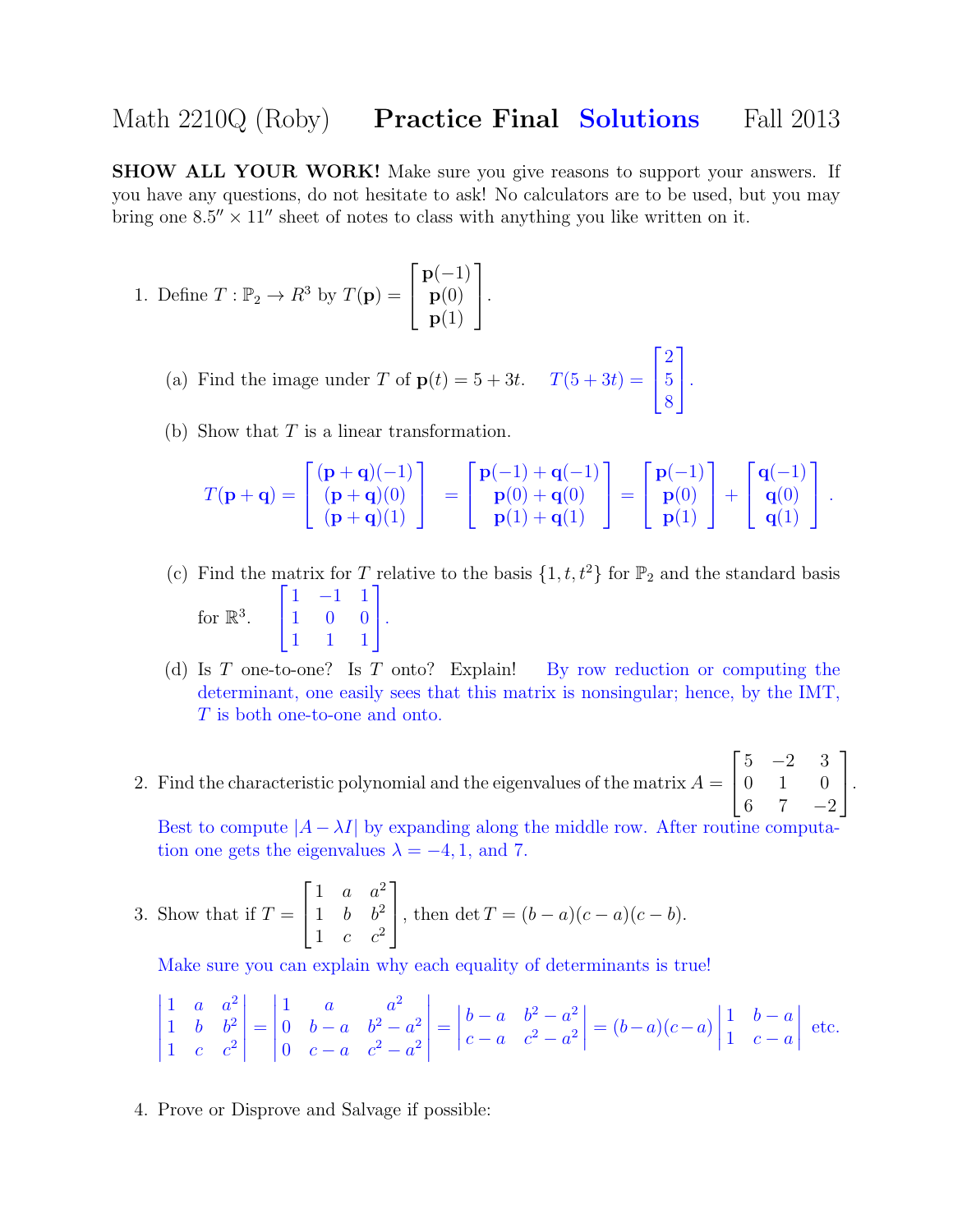## Math 2210Q (Roby) **Practice Final Solutions** Fall 2013

SHOW ALL YOUR WORK! Make sure you give reasons to support your answers. If you have any questions, do not hesitate to ask! No calculators are to be used, but you may bring one  $8.5'' \times 11''$  sheet of notes to class with anything you like written on it.

- 1. Define  $T: \mathbb{P}_2 \to R^3$  by  $T(\mathbf{p}) =$  $\sqrt{ }$  $\vert$  $p(-1)$  $\mathbf{p}(0)$  ${\bf p}(1)$ 1  $\vert \cdot$ 
	- (a) Find the image under T of  $p(t) = 5 + 3t$ .  $T(5 + 3t) =$  $\sqrt{ }$  $\mathbf{I}$ 2 5 8 1  $\vert \cdot$
	- (b) Show that  $T$  is a linear transformation.

$$
T(\mathbf{p}+\mathbf{q}) = \begin{bmatrix} (\mathbf{p}+\mathbf{q})(-1) \\ (\mathbf{p}+\mathbf{q})(0) \\ (\mathbf{p}+\mathbf{q})(1) \end{bmatrix} = \begin{bmatrix} \mathbf{p}(-1) + \mathbf{q}(-1) \\ \mathbf{p}(0) + \mathbf{q}(0) \\ \mathbf{p}(1) + \mathbf{q}(1) \end{bmatrix} = \begin{bmatrix} \mathbf{p}(-1) \\ \mathbf{p}(0) \\ \mathbf{p}(1) \end{bmatrix} + \begin{bmatrix} \mathbf{q}(-1) \\ \mathbf{q}(0) \\ \mathbf{q}(1) \end{bmatrix}.
$$

- (c) Find the matrix for T relative to the basis  $\{1, t, t^2\}$  for  $\mathbb{P}_2$  and the standard basis for  $\mathbb{R}^3$ .  $\sqrt{ }$  $\mathbf{I}$ 1 −1 1 1 0 0 1 1 1 1  $\vert \cdot$
- (d) Is T one-to-one? Is T onto? Explain! By row reduction or computing the determinant, one easily sees that this matrix is nonsingular; hence, by the IMT, T is both one-to-one and onto.
- 2. Find the characteristic polynomial and the eigenvalues of the matrix  $A =$  $\sqrt{ }$  $\overline{\phantom{a}}$  $5 -2 3$ 0 1 0 6 7  $-2$ 1  $\vert \cdot$

Best to compute  $|A - \lambda I|$  by expanding along the middle row. After routine computa tion one gets the eigenvalues  $\lambda = -4, 1,$  and 7.

3. Show that if 
$$
T = \begin{bmatrix} 1 & a & a^2 \\ 1 & b & b^2 \\ 1 & c & c^2 \end{bmatrix}
$$
, then  $\det T = (b - a)(c - a)(c - b)$ .

Make sure you can explain why each equality of determinants is true!

$$
\begin{vmatrix} 1 & a & a^2 \\ 1 & b & b^2 \\ 1 & c & c^2 \end{vmatrix} = \begin{vmatrix} 1 & a & a^2 \\ 0 & b - a & b^2 - a^2 \\ 0 & c - a & c^2 - a^2 \end{vmatrix} = \begin{vmatrix} b - a & b^2 - a^2 \\ c - a & c^2 - a^2 \end{vmatrix} = (b - a)(c - a) \begin{vmatrix} 1 & b - a \\ 1 & c - a \end{vmatrix}
$$
 etc.

4. Prove or Disprove and Salvage if possible: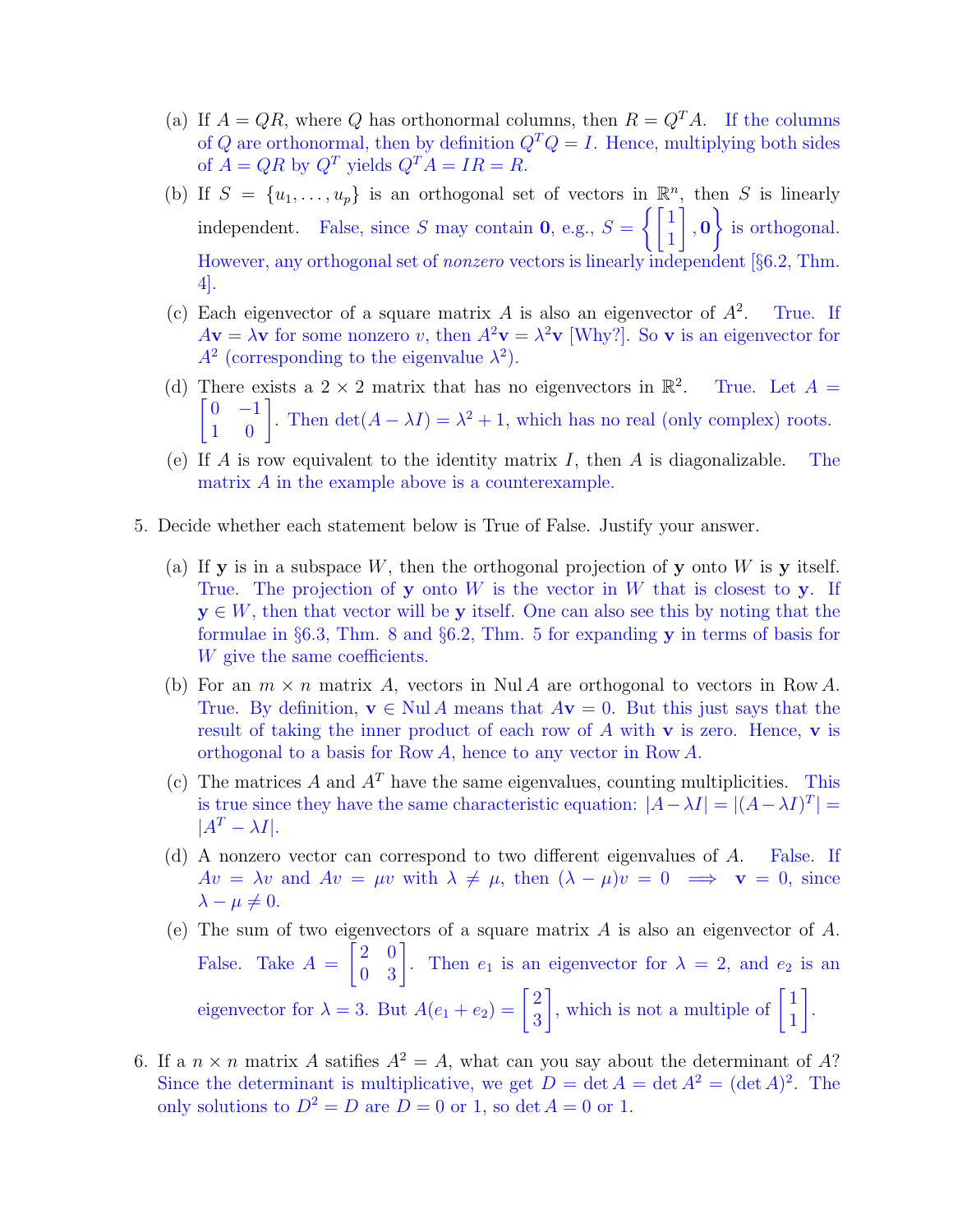- (a) If  $A = QR$ , where Q has orthonormal columns, then  $R = Q<sup>T</sup>A$ . If the columns of Q are orthonormal, then by definition  $Q^T Q = I$ . Hence, multiplying both sides of  $A = QR$  by  $Q^T$  yields  $Q^T A = IR = R$ .
- (b) If  $S = \{u_1, \ldots, u_p\}$  is an orthogonal set of vectors in  $\mathbb{R}^n$ , then S is linearly independent. False, since S may contain **0**, e.g.,  $S = \begin{cases} 1 & 1 \\ 1 & 1 \end{cases}$ 1 1 , 0 <sup>1</sup> is orthogonal. However, any orthogonal set of nonzero vectors is linearly independent [§6.2, Thm. 4].
- (c) Each eigenvector of a square matrix  $A$  is also an eigenvector of  $A^2$ . . True. If  $A\mathbf{v} = \lambda \mathbf{v}$  for some nonzero v, then  $A^2\mathbf{v} = \lambda^2 \mathbf{v}$  [Why?]. So v is an eigenvector for  $A<sup>2</sup>$  (corresponding to the eigenvalue  $\lambda<sup>2</sup>$ ).
- (d) There exists a  $2 \times 2$  matrix that has no eigenvectors in  $\mathbb{R}^2$  $\begin{bmatrix} 0 & -1 \\ 1 & 0 \end{bmatrix}$ . Then  $\det(A - \lambda I) = \lambda^2 + 1$ , which has no real (only complex) roots. True. Let  $A =$
- (e) If A is row equivalent to the identity matrix I, then A is diagonalizable. The matrix A in the example above is a counterexample.
- 5. Decide whether each statement below is True of False. Justify your answer.
	- (a) If **y** is in a subspace W, then the orthogonal projection of **y** onto W is **y** itself. True. The projection of y onto  $W$  is the vector in  $W$  that is closest to y. If  $y \in W$ , then that vector will be y itself. One can also see this by noting that the formulae in §6.3, Thm. 8 and §6.2, Thm. 5 for expanding y in terms of basis for W give the same coefficients.
	- (b) For an  $m \times n$  matrix A, vectors in Nul A are orthogonal to vectors in Row A. True. By definition,  $\mathbf{v} \in \text{Nul } A$  means that  $A\mathbf{v} = 0$ . But this just says that the result of taking the inner product of each row of  $A$  with  $\bf{v}$  is zero. Hence,  $\bf{v}$  is orthogonal to a basis for Row A, hence to any vector in Row A.
	- (c) The matrices A and  $A<sup>T</sup>$  have the same eigenvalues, counting multiplicities. This is true since they have the same characteristic equation:  $|A - \lambda I| = |(A - \lambda I)^{T}|$  $|A^T - \lambda I|.$
	- (d) A nonzero vector can correspond to two different eigenvalues of A. False. If  $Av = \lambda v$  and  $Av = \mu v$  with  $\lambda \neq \mu$ , then  $(\lambda - \mu)v = 0 \implies v = 0$ , since  $\lambda - \mu \neq 0.$
	- (e) The sum of two eigenvectors of a square matrix  $A$  is also an eigenvector of  $A$ . False. Take  $A =$  $\begin{bmatrix} 2 & 0 \\ 0 & 3 \end{bmatrix}$ . Then  $e_1$  is an eigenvector for  $\lambda = 2$ , and  $e_2$  is an eigenvector for  $\lambda = 3$ . But  $A(e_1 + e_2) = \begin{bmatrix} 2 \\ 2 \end{bmatrix}$ 3 , which is not a multiple of  $\begin{bmatrix} 1 \\ 1 \end{bmatrix}$ 1 1 .
- 6. If a  $n \times n$  matrix A satifies  $A^2 = A$ , what can you say about the determinant of A? Since the determinant is multiplicative, we get  $D = \det A = \det A^2 = (\det A)^2$ . The only solutions to  $D^2 = D$  are  $D = 0$  or 1, so det  $A = 0$  or 1.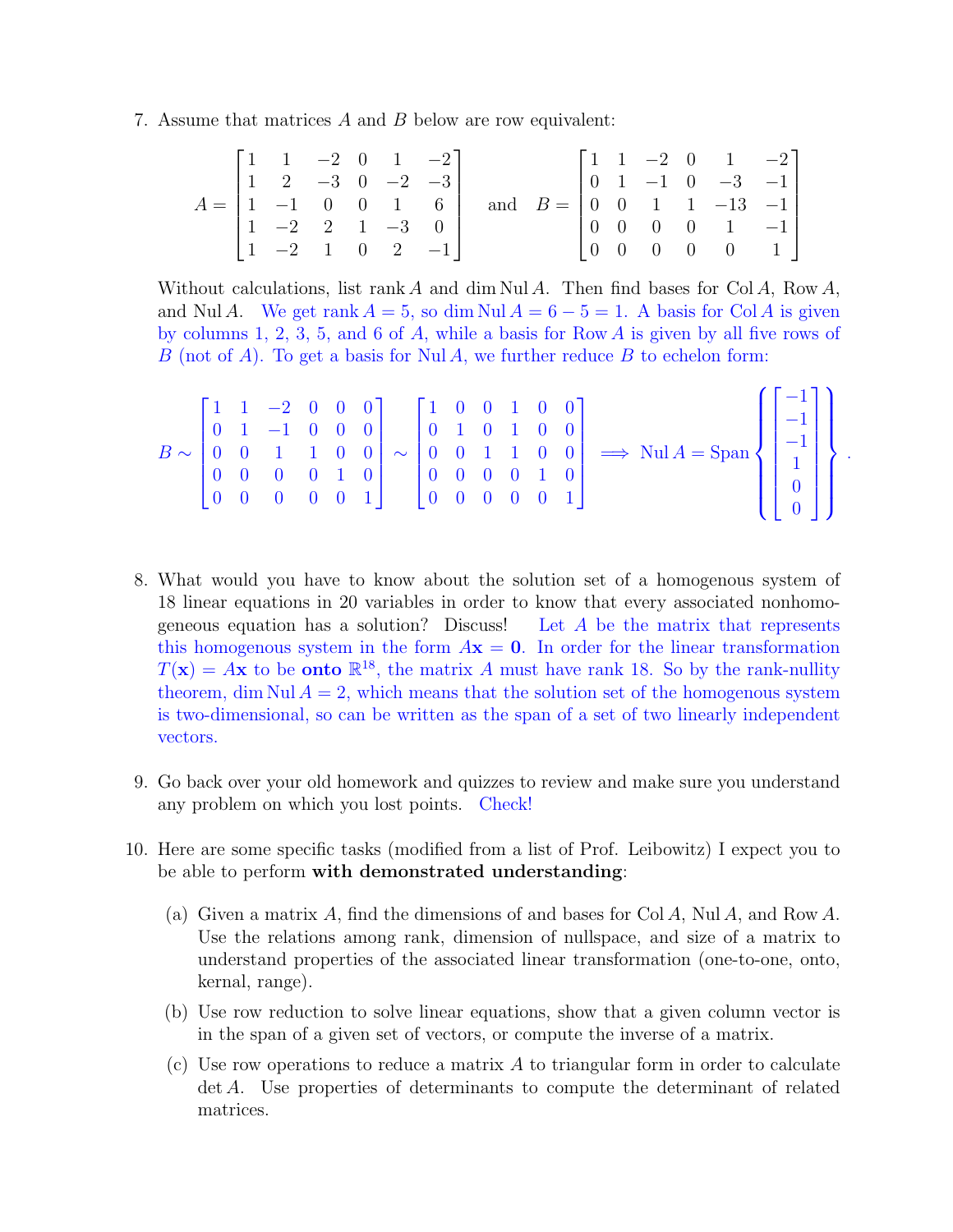7. Assume that matrices A and B below are row equivalent:

$$
A = \begin{bmatrix} 1 & 1 & -2 & 0 & 1 & -2 \\ 1 & 2 & -3 & 0 & -2 & -3 \\ 1 & -1 & 0 & 0 & 1 & 6 \\ 1 & -2 & 2 & 1 & -3 & 0 \\ 1 & -2 & 1 & 0 & 2 & -1 \end{bmatrix} \text{ and } B = \begin{bmatrix} 1 & 1 & -2 & 0 & 1 & -2 \\ 0 & 1 & -1 & 0 & -3 & -1 \\ 0 & 0 & 1 & 1 & -13 & -1 \\ 0 & 0 & 0 & 0 & 1 & -1 \\ 0 & 0 & 0 & 0 & 0 & 1 \end{bmatrix}
$$

Without calculations, list rank A and dim Nul A. Then find bases for Col A, Row A, and Nul A. We get rank  $A = 5$ , so dim Nul  $A = 6 - 5 = 1$ . A basis for Col A is given by columns 1, 2, 3, 5, and 6 of  $A$ , while a basis for Row  $A$  is given by all five rows of B (not of A). To get a basis for Nul A, we further reduce B to echelon form:

|  |  |  |  |  |  |  |  |  |  |  |  |  |  |  | $B \sim \begin{bmatrix} 1 & 1 & -2 & 0 & 0 & 0 \\ 0 & 1 & -1 & 0 & 0 & 0 \\ 0 & 0 & 1 & 1 & 0 & 0 \\ 0 & 0 & 0 & 0 & 1 & 0 \\ 0 & 0 & 0 & 0 & 0 & 1 \end{bmatrix} \sim \begin{bmatrix} 1 & 0 & 0 & 1 & 0 & 0 \\ 0 & 1 & 0 & 1 & 0 & 0 \\ 0 & 0 & 1 & 1 & 0 & 0 \\ 0 & 0 & 0 & 0 & 1 & 0 \\ 0 & 0 & 0 & 0 & 0 & 1 \end{bmatrix} \implies \text{Nul } A = \text$ |  |  |  |  |
|--|--|--|--|--|--|--|--|--|--|--|--|--|--|--|----------------------------------------------------------------------------------------------------------------------------------------------------------------------------------------------------------------------------------------------------------------------------------------------------------------------------------------------------------------|--|--|--|--|
|--|--|--|--|--|--|--|--|--|--|--|--|--|--|--|----------------------------------------------------------------------------------------------------------------------------------------------------------------------------------------------------------------------------------------------------------------------------------------------------------------------------------------------------------------|--|--|--|--|

- 8. What would you have to know about the solution set of a homogenous system of 18 linear equations in 20 variables in order to know that every associated nonhomogeneous equation has a solution? Discuss! Let A be the matrix that represents this homogenous system in the form  $A\mathbf{x} = \mathbf{0}$ . In order for the linear transformation  $T(\mathbf{x}) = A\mathbf{x}$  to be **onto**  $\mathbb{R}^{18}$ , the matrix A must have rank 18. So by the rank-nullity theorem, dim Nul  $A = 2$ , which means that the solution set of the homogenous system is two-dimensional, so can be written as the span of a set of two linearly independent vectors.
- 9. Go back over your old homework and quizzes to review and make sure you understand any problem on which you lost points. Check!
- 10. Here are some specific tasks (modified from a list of Prof. Leibowitz) I expect you to be able to perform with demonstrated understanding:
	- (a) Given a matrix A, find the dimensions of and bases for Col A, Nul A, and Row A. Use the relations among rank, dimension of nullspace, and size of a matrix to understand properties of the associated linear transformation (one-to-one, onto, kernal, range).
	- (b) Use row reduction to solve linear equations, show that a given column vector is in the span of a given set of vectors, or compute the inverse of a matrix.
	- (c) Use row operations to reduce a matrix A to triangular form in order to calculate det A. Use properties of determinants to compute the determinant of related matrices.